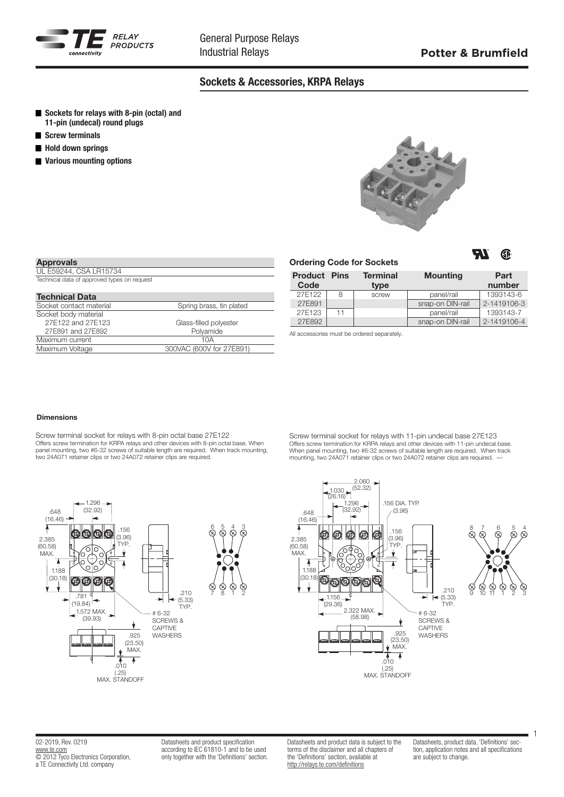

# Sockets & Accessories, KRPA Relays

- Sockets for relays with 8-pin (octal) and 11-pin (undecal) round plugs
- Screw terminals
- **Hold down springs**
- **Various mounting options**



| <b>Approvals</b>                            |                          |
|---------------------------------------------|--------------------------|
| UL E59244. CSA LR15734                      |                          |
| Technical data of approved types on request |                          |
|                                             |                          |
| <b>Technical Data</b>                       |                          |
| Socket contact material                     | Spring brass, tin plated |
| Socket body material                        |                          |
| 27E122 and 27E123                           | Glass-filled polyester   |
| 27E891 and 27E892                           | Polyamide                |
| Maximum current                             | 10A                      |
| Maximum Voltage                             | 300VAC (600V for 27E891) |

|                             |    | <b>Ordering Code for Sockets</b> |                  | 70<br>Øĥ.      |
|-----------------------------|----|----------------------------------|------------------|----------------|
| <b>Product Pins</b><br>Code |    | <b>Terminal</b><br>type          | <b>Mounting</b>  | Part<br>number |
| 27E122                      | 8  | screw                            | panel/rail       | 1393143-6      |
| 27E891                      |    |                                  | snap-on DIN-rail | 2-1419106-3    |
| 27E123                      | 11 |                                  | panel/rail       | 1393143-7      |
| 27E892                      |    |                                  | snap-on DIN-rail | 2-1419106-4    |

All accessories must be ordered separately.

#### Dimensions

Screw terminal socket for relays with 8-pin octal base 27E122 Offers screw termination for KRPA relays and other devices with 8-pin octal base. When panel mounting, two #6-32 screws of suitable length are required. When track mounting, two 24A071 retainer clips or two 24A072 retainer clips are required.

Screw terminal socket for relays with 11-pin undecal base 27E123 Offers screw termination for KRPA relays and other devices with 11-pin undecal base. When panel mounting, two #6-32 screws of suitable length are required. When track mounting, two 24A071 retainer clips or two 24A072 retainer clips are required. ––





Datasheets and product specification according to IEC 61810-1 and to be used only together with the 'Definitions' section. Datasheets and product data is subject to the terms of the disclaimer and all chapters of the 'Definitions' section, available at http://relays.te.com/definitions

Datasheets, product data, 'Definitions' section, application notes and all specifications are subject to change.

1